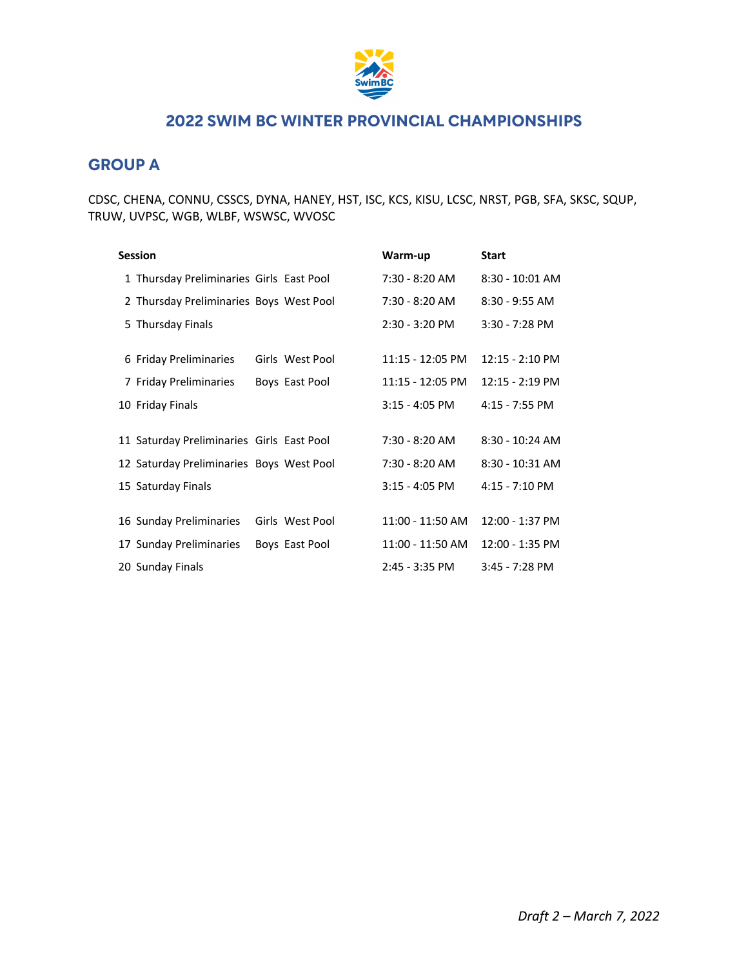

## **GROUP A**

CDSC, CHENA, CONNU, CSSCS, DYNA, HANEY, HST, ISC, KCS, KISU, LCSC, NRST, PGB, SFA, SKSC, SQUP, TRUW, UVPSC, WGB, WLBF, WSWSC, WVOSC

| <b>Session</b>                            |                 | Warm-up          | <b>Start</b>              |
|-------------------------------------------|-----------------|------------------|---------------------------|
| 1 Thursday Preliminaries Girls East Pool  |                 | 7:30 - 8:20 AM   | $8:30 - 10:01$ AM         |
| 2 Thursday Preliminaries Boys West Pool   |                 | 7:30 - 8:20 AM   | $8:30 - 9:55$ AM          |
| 5 Thursday Finals                         |                 | $2:30 - 3:20$ PM | $3:30 - 7:28$ PM          |
| 6 Friday Preliminaries                    | Girls West Pool | 11:15 - 12:05 PM | $12:15 - 2:10 \text{ PM}$ |
| 7 Friday Preliminaries                    | Boys East Pool  | 11:15 - 12:05 PM | $12:15 - 2:19$ PM         |
| 10 Friday Finals                          |                 | $3:15 - 4:05$ PM | 4:15 - 7:55 PM            |
| 11 Saturday Preliminaries Girls East Pool |                 | 7:30 - 8:20 AM   | $8:30 - 10:24$ AM         |
| 12 Saturday Preliminaries Boys West Pool  |                 | 7:30 - 8:20 AM   | $8:30 - 10:31$ AM         |
| 15 Saturday Finals                        |                 | $3:15 - 4:05$ PM | 4:15 - 7:10 PM            |
| 16 Sunday Preliminaries                   | Girls West Pool | 11:00 - 11:50 AM | 12:00 - 1:37 PM           |
| 17 Sunday Preliminaries                   | Boys East Pool  | 11:00 - 11:50 AM | 12:00 - 1:35 PM           |
| 20 Sunday Finals                          |                 | 2:45 - 3:35 PM   | $3:45 - 7:28$ PM          |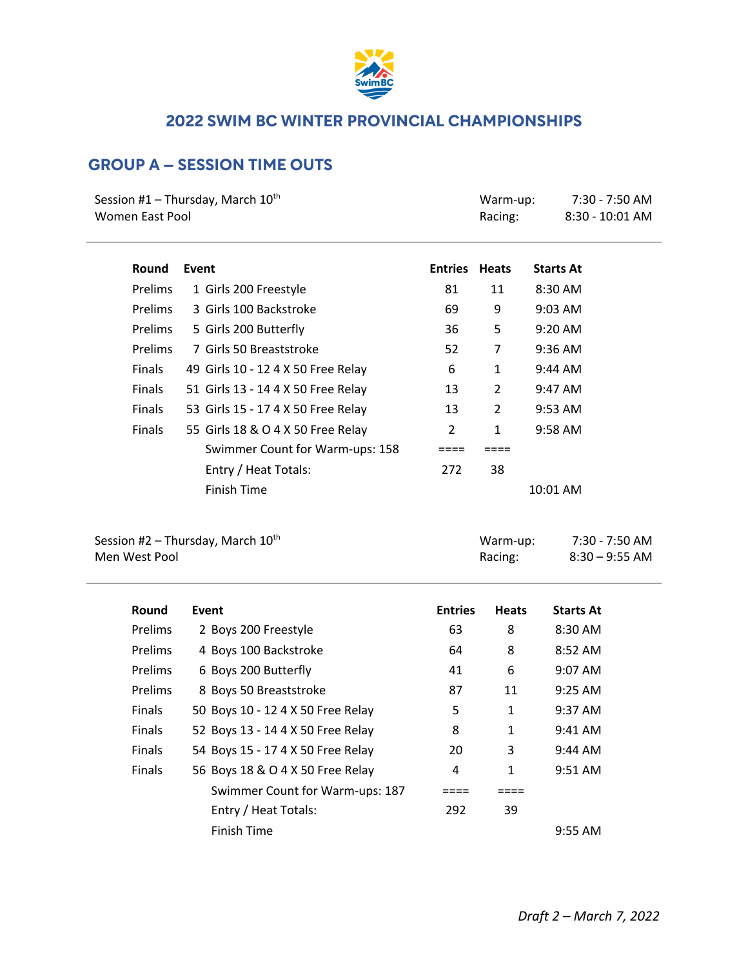

# **GROUP A – SESSION TIME OUTS**

| Session #1 - Thursday, March $10^{th}$<br><b>Women East Pool</b> |                                    | Warm-up:<br>Racing: | $7:30 - 7:50$ AM<br>8:30 - 10:01 AM |                   |
|------------------------------------------------------------------|------------------------------------|---------------------|-------------------------------------|-------------------|
| Round                                                            | Event                              | <b>Entries</b>      | <b>Heats</b>                        | <b>Starts At</b>  |
| Prelims                                                          | 1 Girls 200 Freestyle              | 81                  | 11                                  | 8:30 AM           |
| Prelims                                                          | 3 Girls 100 Backstroke             | 69                  | 9                                   | 9:03 AM           |
| Prelims                                                          | 5 Girls 200 Butterfly              | 36                  | 5                                   | 9:20 AM           |
| Prelims                                                          | 7 Girls 50 Breaststroke            | 52                  | 7                                   | $9:36$ AM         |
| Finals                                                           | 49 Girls 10 - 12 4 X 50 Free Relay | 6                   | 1                                   | 9:44 AM           |
| Finals                                                           | 51 Girls 13 - 14 4 X 50 Free Relay | 13                  | 2                                   | 9:47 AM           |
| Finals                                                           | 53 Girls 15 - 17 4 X 50 Free Relay | 13                  | 2                                   | 9:53 AM           |
| Finals                                                           | 55 Girls 18 & O 4 X 50 Free Relay  | 2                   | 1                                   | $9:58 \text{ AM}$ |
|                                                                  | Swimmer Count for Warm-ups: 158    |                     |                                     |                   |
|                                                                  | Entry / Heat Totals:               | 272                 | 38                                  |                   |
|                                                                  | <b>Finish Time</b>                 |                     |                                     | 10:01 AM          |
|                                                                  |                                    |                     |                                     |                   |
|                                                                  |                                    |                     |                                     |                   |

Session #2 – Thursday, March 10<sup>th</sup> and March Warm-up: 7:30 - 7:50 AM Men West Pool **Mentally Racing:** 8:30 – 9:55 AM

| Round          | Event                             | <b>Entries</b> | <b>Heats</b> | <b>Starts At</b>    |
|----------------|-----------------------------------|----------------|--------------|---------------------|
| <b>Prelims</b> | 2 Boys 200 Freestyle              | 63             | 8            | $8:30$ AM           |
| Prelims        | 4 Boys 100 Backstroke             | 64             | 8            | $8:52 \, \text{AM}$ |
| Prelims        | 6 Boys 200 Butterfly              | 41             | 6            | $9:07$ AM           |
| Prelims        | 8 Boys 50 Breaststroke            | 87             | 11           | $9:25$ AM           |
| <b>Finals</b>  | 50 Boys 10 - 12 4 X 50 Free Relay | 5              | $\mathbf{1}$ | $9:37$ AM           |
| <b>Finals</b>  | 52 Boys 13 - 14 4 X 50 Free Relay | 8              | $\mathbf{1}$ | $9:41$ AM           |
| <b>Finals</b>  | 54 Boys 15 - 17 4 X 50 Free Relay | 20             | 3            | $9:44$ AM           |
| <b>Finals</b>  | 56 Boys 18 & O 4 X 50 Free Relay  | 4              | $\mathbf{1}$ | $9:51 \text{ AM}$   |
|                | Swimmer Count for Warm-ups: 187   |                |              |                     |
|                | Entry / Heat Totals:              | 292            | 39           |                     |
|                | Finish Time                       |                |              | $9:55$ AM           |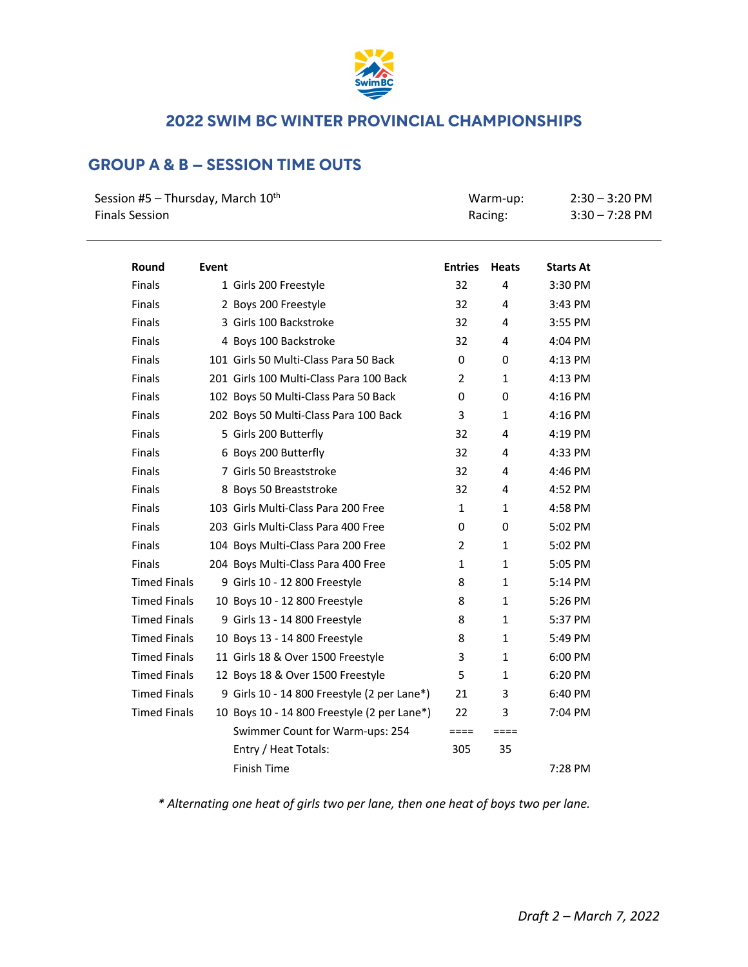

# **GROUP A & B – SESSION TIME OUTS**

| Session #5 - Thursday, March 10 <sup>th</sup><br><b>Finals Session</b> |       |                                             | Warm-up:<br>Racing: |              | $2:30 - 3:20$ PM<br>$3:30 - 7:28$ PM |  |
|------------------------------------------------------------------------|-------|---------------------------------------------|---------------------|--------------|--------------------------------------|--|
| Round                                                                  | Event |                                             | <b>Entries</b>      | <b>Heats</b> | <b>Starts At</b>                     |  |
| <b>Finals</b>                                                          |       | 1 Girls 200 Freestyle                       | 32                  | 4            | 3:30 PM                              |  |
| <b>Finals</b>                                                          |       | 2 Boys 200 Freestyle                        | 32                  | 4            | 3:43 PM                              |  |
| <b>Finals</b>                                                          |       | 3 Girls 100 Backstroke                      | 32                  | 4            | 3:55 PM                              |  |
| <b>Finals</b>                                                          |       | 4 Boys 100 Backstroke                       | 32                  | 4            | 4:04 PM                              |  |
| <b>Finals</b>                                                          |       | 101 Girls 50 Multi-Class Para 50 Back       | 0                   | 0            | 4:13 PM                              |  |
| <b>Finals</b>                                                          |       | 201 Girls 100 Multi-Class Para 100 Back     | $\overline{2}$      | 1            | 4:13 PM                              |  |
| <b>Finals</b>                                                          |       | 102 Boys 50 Multi-Class Para 50 Back        | $\Omega$            | 0            | 4:16 PM                              |  |
| <b>Finals</b>                                                          |       | 202 Boys 50 Multi-Class Para 100 Back       | 3                   | $\mathbf{1}$ | 4:16 PM                              |  |
| <b>Finals</b>                                                          |       | 5 Girls 200 Butterfly                       | 32                  | 4            | 4:19 PM                              |  |
| <b>Finals</b>                                                          |       | 6 Boys 200 Butterfly                        | 32                  | 4            | 4:33 PM                              |  |
| <b>Finals</b>                                                          |       | 7 Girls 50 Breaststroke                     | 32                  | 4            | 4:46 PM                              |  |
| <b>Finals</b>                                                          |       | 8 Boys 50 Breaststroke                      | 32                  | 4            | 4:52 PM                              |  |
| <b>Finals</b>                                                          |       | 103 Girls Multi-Class Para 200 Free         | $\mathbf{1}$        | $\mathbf{1}$ | 4:58 PM                              |  |
| <b>Finals</b>                                                          |       | 203 Girls Multi-Class Para 400 Free         | 0                   | 0            | 5:02 PM                              |  |
| <b>Finals</b>                                                          |       | 104 Boys Multi-Class Para 200 Free          | 2                   | 1            | 5:02 PM                              |  |
| <b>Finals</b>                                                          |       | 204 Boys Multi-Class Para 400 Free          | 1                   | 1            | 5:05 PM                              |  |
| <b>Timed Finals</b>                                                    |       | 9 Girls 10 - 12 800 Freestyle               | 8                   | $\mathbf{1}$ | 5:14 PM                              |  |
| <b>Timed Finals</b>                                                    |       | 10 Boys 10 - 12 800 Freestyle               | 8                   | $\mathbf{1}$ | 5:26 PM                              |  |
| <b>Timed Finals</b>                                                    |       | 9 Girls 13 - 14 800 Freestyle               | 8                   | 1            | 5:37 PM                              |  |
| <b>Timed Finals</b>                                                    |       | 10 Boys 13 - 14 800 Freestyle               | 8                   | $\mathbf{1}$ | 5:49 PM                              |  |
| <b>Timed Finals</b>                                                    |       | 11 Girls 18 & Over 1500 Freestyle           | 3                   | 1            | 6:00 PM                              |  |
| <b>Timed Finals</b>                                                    |       | 12 Boys 18 & Over 1500 Freestyle            | 5                   | 1            | 6:20 PM                              |  |
| <b>Timed Finals</b>                                                    |       | 9 Girls 10 - 14 800 Freestyle (2 per Lane*) | 21                  | 3            | 6:40 PM                              |  |
| <b>Timed Finals</b>                                                    |       | 10 Boys 10 - 14 800 Freestyle (2 per Lane*) | 22                  | 3            | 7:04 PM                              |  |
|                                                                        |       | Swimmer Count for Warm-ups: 254             | $====$              | $====$       |                                      |  |
|                                                                        |       | Entry / Heat Totals:                        | 305                 | 35           |                                      |  |
|                                                                        |       | <b>Finish Time</b>                          |                     |              | 7:28 PM                              |  |

*\* Alternating one heat of girls two per lane, then one heat of boys two per lane.*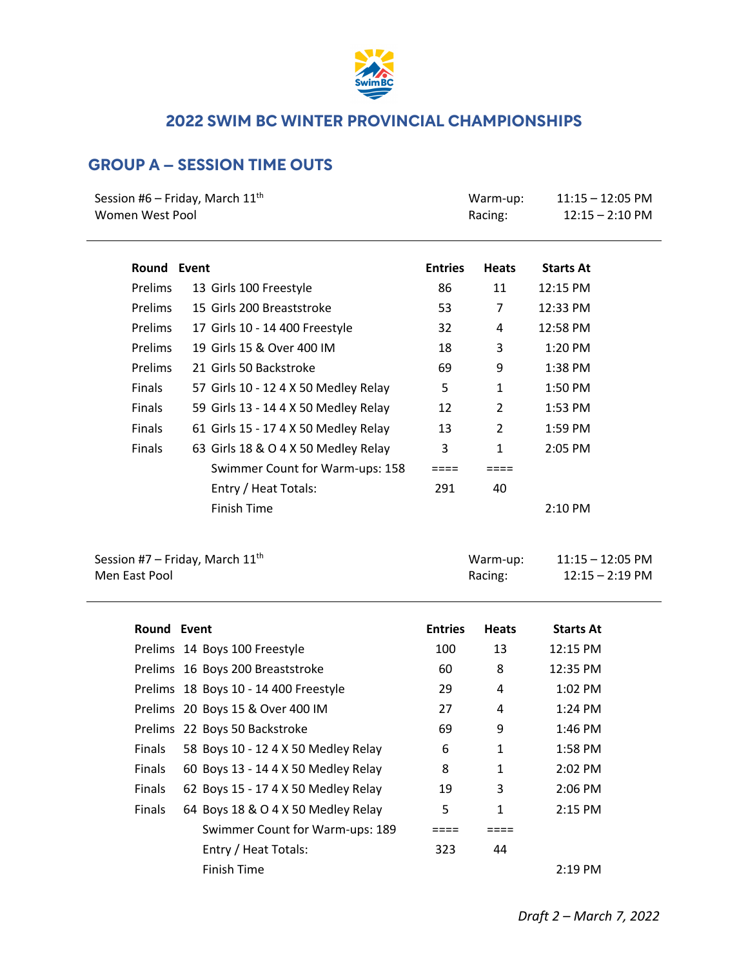

# **GROUP A – SESSION TIME OUTS**

| Session #6 – Friday, March $11^{\text{th}}$ |                                      |                | Warm-up:       | $11:15 - 12:05$ PM |
|---------------------------------------------|--------------------------------------|----------------|----------------|--------------------|
| Women West Pool                             |                                      |                | Racing:        | $12:15 - 2:10$ PM  |
|                                             |                                      |                |                |                    |
| Round Event                                 |                                      | <b>Entries</b> | <b>Heats</b>   | <b>Starts At</b>   |
| Prelims                                     | 13 Girls 100 Freestyle               | 86             | 11             | 12:15 PM           |
| Prelims                                     | 15 Girls 200 Breaststroke            | 53             | 7              | 12:33 PM           |
| Prelims                                     | 17 Girls 10 - 14 400 Freestyle       | 32             | 4              | 12:58 PM           |
| Prelims                                     | 19 Girls 15 & Over 400 IM            | 18             | 3              | 1:20 PM            |
| <b>Prelims</b>                              | 21 Girls 50 Backstroke               | 69             | 9              | 1:38 PM            |
| Finals                                      | 57 Girls 10 - 12 4 X 50 Medley Relay | 5              | $\mathbf{1}$   | 1:50 PM            |
| Finals                                      | 59 Girls 13 - 14 4 X 50 Medley Relay | 12             | $\overline{2}$ | 1:53 PM            |
| Finals                                      | 61 Girls 15 - 17 4 X 50 Medley Relay | 13             | 2              | 1:59 PM            |
| Finals                                      | 63 Girls 18 & O 4 X 50 Medley Relay  | 3              | $\mathbf{1}$   | 2:05 PM            |
|                                             | Swimmer Count for Warm-ups: 158      | ====           | ====           |                    |
|                                             | Entry / Heat Totals:                 | 291            | 40             |                    |
|                                             | <b>Finish Time</b>                   |                |                | 2:10 PM            |
|                                             |                                      |                |                |                    |
| Session #7 – Friday, March $11^{\text{th}}$ |                                      |                | Warm-up:       | $11:15 - 12:05$ PM |
| Men East Pool                               |                                      |                | Racing:        | $12:15 - 2:19$ PM  |

| Round Event   |                                       | <b>Entries</b> | <b>Heats</b> | <b>Starts At</b>  |
|---------------|---------------------------------------|----------------|--------------|-------------------|
|               | Prelims 14 Boys 100 Freestyle         | 100            | 13           | $12:15$ PM        |
|               | Prelims 16 Boys 200 Breaststroke      | 60             | 8            | 12:35 PM          |
|               | Prelims 18 Boys 10 - 14 400 Freestyle | 29             | 4            | $1:02$ PM         |
|               | Prelims 20 Boys 15 & Over 400 IM      | 27             | 4            | $1:24 \text{ PM}$ |
|               | Prelims 22 Boys 50 Backstroke         | 69             | 9            | $1:46$ PM         |
| <b>Finals</b> | 58 Boys 10 - 12 4 X 50 Medley Relay   | 6              | $\mathbf{1}$ | 1:58 PM           |
| <b>Finals</b> | 60 Boys 13 - 14 4 X 50 Medley Relay   | 8              | $\mathbf{1}$ | $2:02$ PM         |
| <b>Finals</b> | 62 Boys 15 - 17 4 X 50 Medley Relay   | 19             | 3            | $2:06$ PM         |
| <b>Finals</b> | 64 Boys 18 & O 4 X 50 Medley Relay    | 5              | $\mathbf{1}$ | $2:15$ PM         |
|               | Swimmer Count for Warm-ups: 189       |                |              |                   |
|               | Entry / Heat Totals:                  | 323            | 44           |                   |
|               | Finish Time                           |                |              | $2:19$ PM         |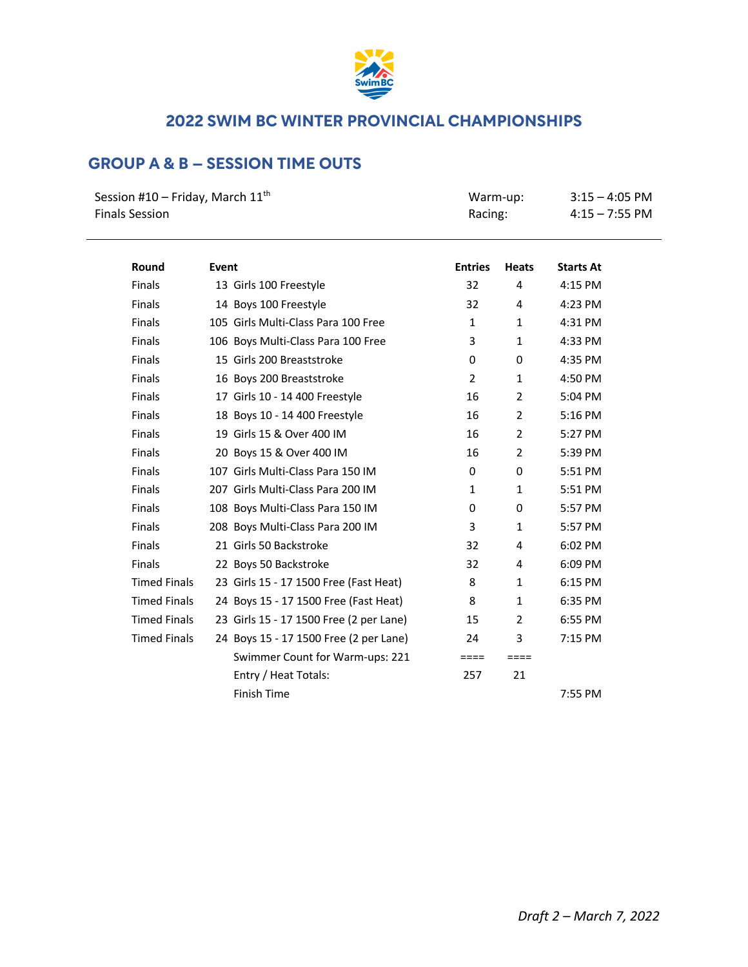

# **GROUP A & B – SESSION TIME OUTS**

| Session #10 – Friday, March $11th$ | Warm-up: | $3:15 - 4:05$ PM |
|------------------------------------|----------|------------------|
| <b>Finals Session</b>              | Racing:  | $4:15 - 7:55$ PM |

| Round               | Event |                                         | <b>Entries</b> | <b>Heats</b>   | <b>Starts At</b> |
|---------------------|-------|-----------------------------------------|----------------|----------------|------------------|
| <b>Finals</b>       |       | 13 Girls 100 Freestyle                  | 32             | 4              | 4:15 PM          |
| <b>Finals</b>       |       | 14 Boys 100 Freestyle                   | 32             | 4              | 4:23 PM          |
| <b>Finals</b>       |       | 105 Girls Multi-Class Para 100 Free     | $\mathbf{1}$   | $\mathbf{1}$   | 4:31 PM          |
| <b>Finals</b>       |       | 106 Boys Multi-Class Para 100 Free      | 3              | $\mathbf{1}$   | 4:33 PM          |
| <b>Finals</b>       |       | 15 Girls 200 Breaststroke               | 0              | 0              | 4:35 PM          |
| <b>Finals</b>       |       | 16 Boys 200 Breaststroke                | $\overline{2}$ | $\mathbf{1}$   | 4:50 PM          |
| <b>Finals</b>       |       | 17 Girls 10 - 14 400 Freestyle          | 16             | $\overline{2}$ | 5:04 PM          |
| Finals              |       | 18 Boys 10 - 14 400 Freestyle           | 16             | $\overline{2}$ | 5:16 PM          |
| Finals              |       | 19 Girls 15 & Over 400 IM               | 16             | $\overline{2}$ | 5:27 PM          |
| Finals              |       | 20 Boys 15 & Over 400 IM                | 16             | $\overline{2}$ | 5:39 PM          |
| Finals              |       | 107 Girls Multi-Class Para 150 IM       | 0              | 0              | 5:51 PM          |
| <b>Finals</b>       |       | 207 Girls Multi-Class Para 200 IM       | 1              | 1              | 5:51 PM          |
| <b>Finals</b>       |       | 108 Boys Multi-Class Para 150 IM        | 0              | 0              | 5:57 PM          |
| <b>Finals</b>       |       | 208 Boys Multi-Class Para 200 IM        | 3              | $\mathbf{1}$   | 5:57 PM          |
| <b>Finals</b>       |       | 21 Girls 50 Backstroke                  | 32             | 4              | 6:02 PM          |
| <b>Finals</b>       |       | 22 Boys 50 Backstroke                   | 32             | 4              | 6:09 PM          |
| <b>Timed Finals</b> |       | 23 Girls 15 - 17 1500 Free (Fast Heat)  | 8              | $\mathbf{1}$   | 6:15 PM          |
| <b>Timed Finals</b> |       | 24 Boys 15 - 17 1500 Free (Fast Heat)   | 8              | $\mathbf{1}$   | 6:35 PM          |
| <b>Timed Finals</b> |       | 23 Girls 15 - 17 1500 Free (2 per Lane) | 15             | $\overline{2}$ | 6:55 PM          |
| <b>Timed Finals</b> |       | 24 Boys 15 - 17 1500 Free (2 per Lane)  | 24             | 3              | 7:15 PM          |
|                     |       | Swimmer Count for Warm-ups: 221         | $====$         | $====$         |                  |
|                     |       | Entry / Heat Totals:                    | 257            | 21             |                  |
|                     |       | <b>Finish Time</b>                      |                |                | 7:55 PM          |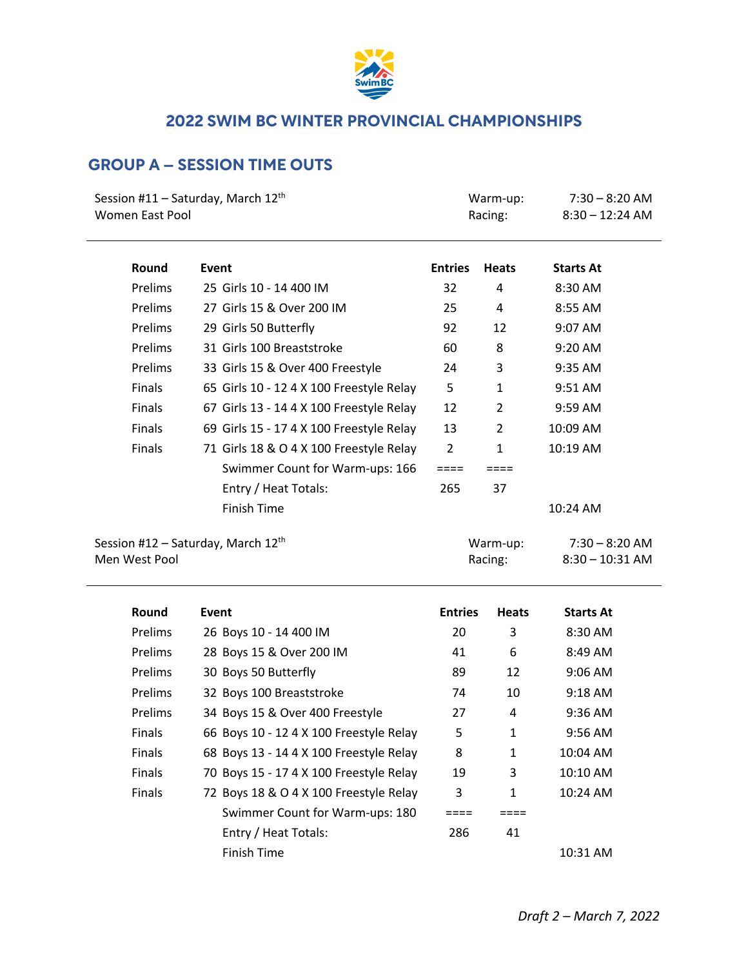

# **GROUP A – SESSION TIME OUTS**

| Session #11 – Saturday, March $12th$                            |                                          |                | Warm-up:            | $7:30 - 8:20$ AM                      |  |
|-----------------------------------------------------------------|------------------------------------------|----------------|---------------------|---------------------------------------|--|
| <b>Women East Pool</b>                                          |                                          |                | Racing:             | $8:30 - 12:24$ AM                     |  |
|                                                                 |                                          |                |                     |                                       |  |
| Round                                                           | Event                                    | <b>Entries</b> | <b>Heats</b>        | <b>Starts At</b>                      |  |
| Prelims                                                         | 25 Girls 10 - 14 400 IM                  | 32             | 4                   | 8:30 AM                               |  |
| Prelims                                                         | 27 Girls 15 & Over 200 IM                | 25             | 4                   | 8:55 AM                               |  |
| Prelims                                                         | 29 Girls 50 Butterfly                    | 92             | 12                  | 9:07 AM                               |  |
| Prelims                                                         | 31 Girls 100 Breaststroke                | 60             | 8                   | 9:20 AM                               |  |
| Prelims                                                         | 33 Girls 15 & Over 400 Freestyle         | 24             | 3                   | 9:35 AM                               |  |
| Finals                                                          | 65 Girls 10 - 12 4 X 100 Freestyle Relay | 5              | $\mathbf{1}$        | 9:51 AM                               |  |
| Finals                                                          | 67 Girls 13 - 14 4 X 100 Freestyle Relay | 12             | $\overline{2}$      | 9:59 AM                               |  |
| Finals                                                          | 69 Girls 15 - 17 4 X 100 Freestyle Relay | 13             | $\overline{2}$      | 10:09 AM                              |  |
| Finals                                                          | 71 Girls 18 & O 4 X 100 Freestyle Relay  | $\overline{2}$ | 1                   | 10:19 AM                              |  |
|                                                                 | Swimmer Count for Warm-ups: 166          | ====           | ====                |                                       |  |
|                                                                 | Entry / Heat Totals:                     | 265            | 37                  |                                       |  |
|                                                                 | Finish Time                              |                |                     | 10:24 AM                              |  |
| Session #12 – Saturday, March $12^{\text{th}}$<br>Men West Pool |                                          |                | Warm-up:<br>Racing: | $7:30 - 8:20$ AM<br>$8:30 - 10:31$ AM |  |

| Round          | Event                                   | <b>Entries</b> | <b>Heats</b> | <b>Starts At</b> |
|----------------|-----------------------------------------|----------------|--------------|------------------|
| <b>Prelims</b> | 26 Boys 10 - 14 400 IM                  | 20             | 3            | 8:30 AM          |
| <b>Prelims</b> | 28 Boys 15 & Over 200 IM                | 41             | 6            | 8:49 AM          |
| <b>Prelims</b> | 30 Boys 50 Butterfly                    | 89             | 12           | $9:06$ AM        |
| <b>Prelims</b> | 32 Boys 100 Breaststroke                | 74             | 10           | $9:18$ AM        |
| <b>Prelims</b> | 34 Boys 15 & Over 400 Freestyle         | 27             | 4            | $9:36$ AM        |
| <b>Finals</b>  | 66 Boys 10 - 12 4 X 100 Freestyle Relay | 5              | 1            | $9:56$ AM        |
| <b>Finals</b>  | 68 Boys 13 - 14 4 X 100 Freestyle Relay | 8              | 1            | 10:04 AM         |
| <b>Finals</b>  | 70 Boys 15 - 17 4 X 100 Freestyle Relay | 19             | 3            | $10:10$ AM       |
| <b>Finals</b>  | 72 Boys 18 & O 4 X 100 Freestyle Relay  | 3              | 1            | $10:24$ AM       |
|                | Swimmer Count for Warm-ups: 180         |                |              |                  |
|                | Entry / Heat Totals:                    | 286            | 41           |                  |
|                | Finish Time                             |                |              | 10:31 AM         |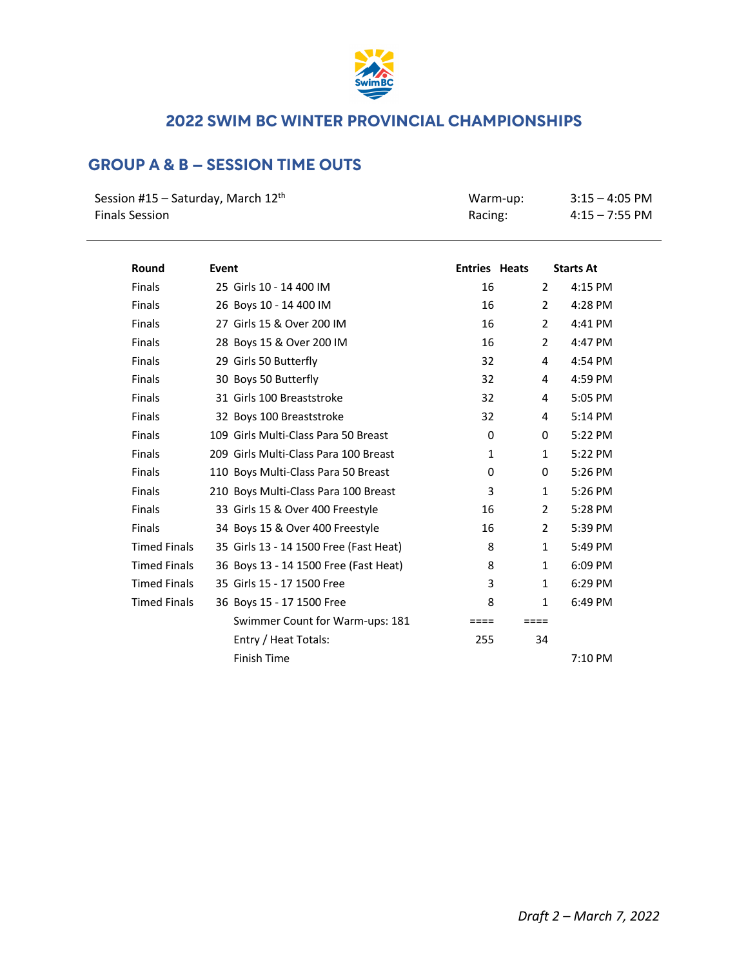

# **GROUP A & B – SESSION TIME OUTS**

| Session #15 – Saturday, March 12 <sup>th</sup> | Warm-up: | $3:15 - 4:05$ PM |
|------------------------------------------------|----------|------------------|
| Finals Session                                 | Racing:  | $4:15 - 7:55$ PM |

| Round               | Event                                  | <b>Entries Heats</b> |                | <b>Starts At</b> |
|---------------------|----------------------------------------|----------------------|----------------|------------------|
| <b>Finals</b>       | 25 Girls 10 - 14 400 IM                | 16                   | $\overline{2}$ | 4:15 PM          |
| <b>Finals</b>       | 26 Boys 10 - 14 400 IM                 | 16                   | $\overline{2}$ | 4:28 PM          |
| <b>Finals</b>       | 27 Girls 15 & Over 200 IM              | 16                   | $\overline{2}$ | 4:41 PM          |
| <b>Finals</b>       | 28 Boys 15 & Over 200 IM               | 16                   | $\overline{2}$ | 4:47 PM          |
| <b>Finals</b>       | 29 Girls 50 Butterfly                  | 32                   | 4              | 4:54 PM          |
| <b>Finals</b>       | 30 Boys 50 Butterfly                   | 32                   | 4              | 4:59 PM          |
| <b>Finals</b>       | 31 Girls 100 Breaststroke              | 32                   | 4              | 5:05 PM          |
| <b>Finals</b>       | 32 Boys 100 Breaststroke               | 32                   | 4              | 5:14 PM          |
| <b>Finals</b>       | 109 Girls Multi-Class Para 50 Breast   | $\mathbf{0}$         | 0              | 5:22 PM          |
| <b>Finals</b>       | 209 Girls Multi-Class Para 100 Breast  | $\mathbf{1}$         | $\mathbf{1}$   | 5:22 PM          |
| <b>Finals</b>       | 110 Boys Multi-Class Para 50 Breast    | $\Omega$             | 0              | 5:26 PM          |
| <b>Finals</b>       | 210 Boys Multi-Class Para 100 Breast   | 3                    | $\mathbf{1}$   | 5:26 PM          |
| <b>Finals</b>       | 33 Girls 15 & Over 400 Freestyle       | 16                   | $\overline{2}$ | 5:28 PM          |
| <b>Finals</b>       | 34 Boys 15 & Over 400 Freestyle        | 16                   | $\overline{2}$ | 5:39 PM          |
| <b>Timed Finals</b> | 35 Girls 13 - 14 1500 Free (Fast Heat) | 8                    | $\mathbf{1}$   | 5:49 PM          |
| <b>Timed Finals</b> | 36 Boys 13 - 14 1500 Free (Fast Heat)  | 8                    | $\mathbf{1}$   | 6:09 PM          |
| <b>Timed Finals</b> | 35 Girls 15 - 17 1500 Free             | 3                    | $\mathbf{1}$   | 6:29 PM          |
| <b>Timed Finals</b> | 36 Boys 15 - 17 1500 Free              | 8                    | $\mathbf{1}$   | 6:49 PM          |
|                     | Swimmer Count for Warm-ups: 181        | $====$               | $====$         |                  |
|                     | Entry / Heat Totals:                   | 255                  | 34             |                  |
|                     | Finish Time                            |                      |                | 7:10 PM          |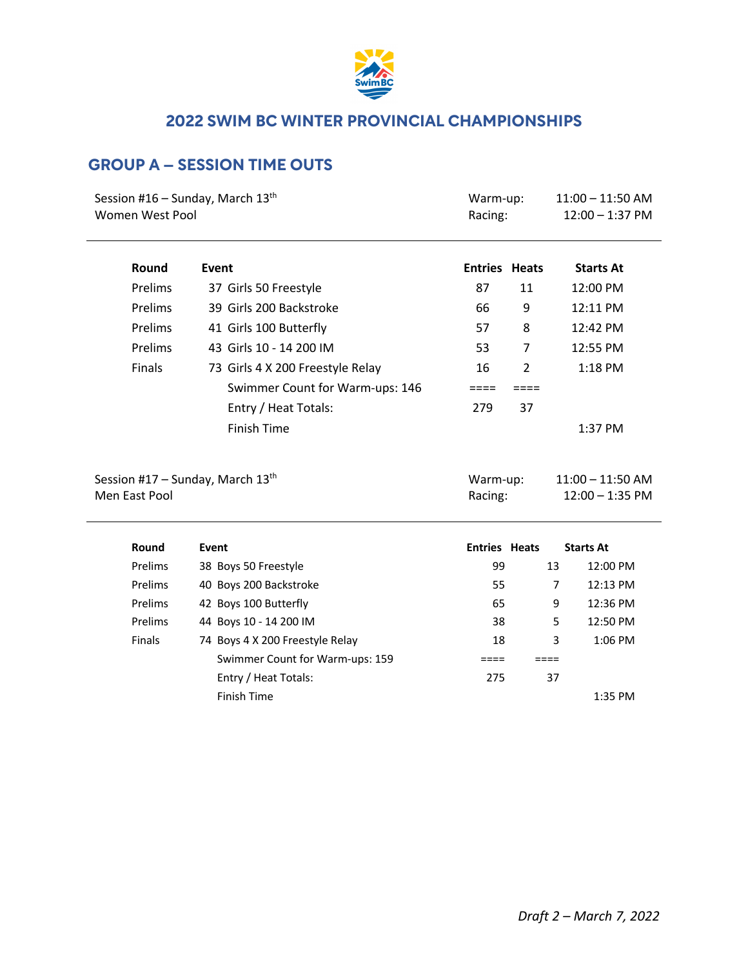

# **GROUP A – SESSION TIME OUTS**

| Session #16 – Sunday, March $13th$<br>Women West Pool |                                  | Warm-up:<br>Racing:  |                | $11:00 - 11:50$ AM<br>$12:00 - 1:37$ PM |                   |
|-------------------------------------------------------|----------------------------------|----------------------|----------------|-----------------------------------------|-------------------|
| Round                                                 | Event                            | <b>Entries Heats</b> |                |                                         | <b>Starts At</b>  |
| Prelims                                               | 37 Girls 50 Freestyle            | 87                   | 11             |                                         | 12:00 PM          |
| Prelims                                               | 39 Girls 200 Backstroke          | 66                   | 9              |                                         | 12:11 PM          |
| Prelims                                               | 41 Girls 100 Butterfly           | 57                   | 8              |                                         | 12:42 PM          |
| Prelims                                               | 43 Girls 10 - 14 200 IM          | 53                   | 7              |                                         | 12:55 PM          |
| Finals                                                | 73 Girls 4 X 200 Freestyle Relay | 16                   | $\overline{2}$ |                                         | 1:18 PM           |
|                                                       | Swimmer Count for Warm-ups: 146  | ====                 | ====           |                                         |                   |
|                                                       | Entry / Heat Totals:             | 279                  | 37             |                                         |                   |
|                                                       | <b>Finish Time</b>               |                      |                |                                         | 1:37 PM           |
| Session #17 – Sunday, March $13th$                    |                                  | Warm-up:             |                | $11:00 - 11:50$ AM                      |                   |
| Men East Pool                                         |                                  | Racing:              |                |                                         | $12:00 - 1:35$ PM |
| Round                                                 | Event                            | <b>Entries Heats</b> |                |                                         |                   |
| Prelims                                               | 38 Boys 50 Freestyle             | 99                   |                | <b>Starts At</b><br>12:00 PM<br>13      |                   |
| Prelims                                               | 40 Boys 200 Backstroke           | 55                   |                | 7                                       | 12:13 PM          |

Prelims 42 Boys 100 Butterfly 100 12:36 PM Prelims 44 Boys 10 - 14 200 IM 38 5 12:50 PM Finals 74 Boys 4 X 200 Freestyle Relay 18 18 3 1:06 PM Swimmer Count for Warm-ups: 159 ==== ==== Entry / Heat Totals: 275 37

Finish Time 1:35 PM